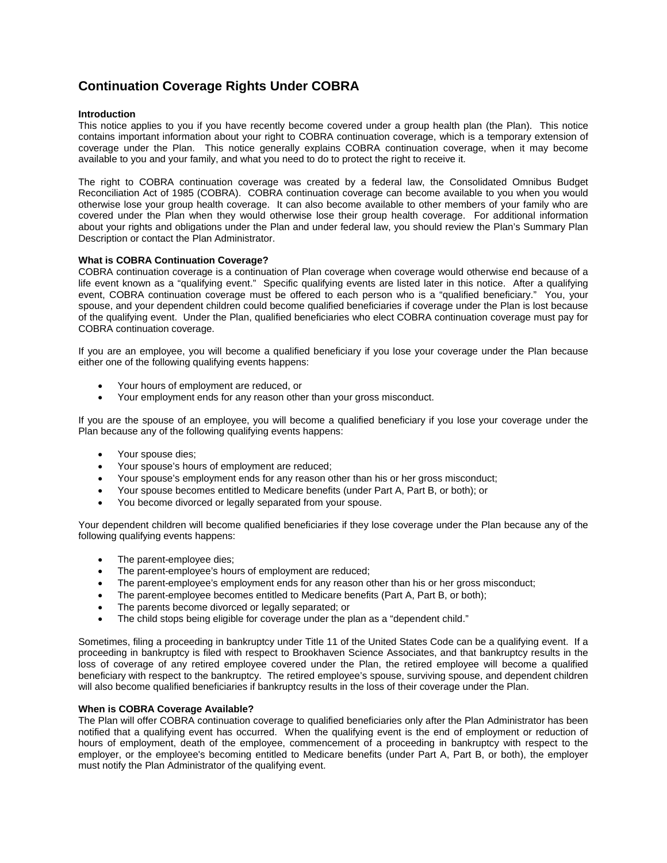# **Continuation Coverage Rights Under COBRA**

# **Introduction**

This notice applies to you if you have recently become covered under a group health plan (the Plan). This notice contains important information about your right to COBRA continuation coverage, which is a temporary extension of coverage under the Plan. This notice generally explains COBRA continuation coverage, when it may become available to you and your family, and what you need to do to protect the right to receive it.

The right to COBRA continuation coverage was created by a federal law, the Consolidated Omnibus Budget Reconciliation Act of 1985 (COBRA). COBRA continuation coverage can become available to you when you would otherwise lose your group health coverage. It can also become available to other members of your family who are covered under the Plan when they would otherwise lose their group health coverage. For additional information about your rights and obligations under the Plan and under federal law, you should review the Plan's Summary Plan Description or contact the Plan Administrator.

# **What is COBRA Continuation Coverage?**

COBRA continuation coverage is a continuation of Plan coverage when coverage would otherwise end because of a life event known as a "qualifying event." Specific qualifying events are listed later in this notice. After a qualifying event, COBRA continuation coverage must be offered to each person who is a "qualified beneficiary." You, your spouse, and your dependent children could become qualified beneficiaries if coverage under the Plan is lost because of the qualifying event. Under the Plan, qualified beneficiaries who elect COBRA continuation coverage must pay for COBRA continuation coverage.

If you are an employee, you will become a qualified beneficiary if you lose your coverage under the Plan because either one of the following qualifying events happens:

- Your hours of employment are reduced, or
- Your employment ends for any reason other than your gross misconduct.

If you are the spouse of an employee, you will become a qualified beneficiary if you lose your coverage under the Plan because any of the following qualifying events happens:

- Your spouse dies;
- Your spouse's hours of employment are reduced;
- Your spouse's employment ends for any reason other than his or her gross misconduct;
- Your spouse becomes entitled to Medicare benefits (under Part A, Part B, or both); or
- You become divorced or legally separated from your spouse.

Your dependent children will become qualified beneficiaries if they lose coverage under the Plan because any of the following qualifying events happens:

- The parent-employee dies;
- The parent-employee's hours of employment are reduced;
- The parent-employee's employment ends for any reason other than his or her gross misconduct;
- The parent-employee becomes entitled to Medicare benefits (Part A, Part B, or both);
- The parents become divorced or legally separated; or
- The child stops being eligible for coverage under the plan as a "dependent child."

Sometimes, filing a proceeding in bankruptcy under Title 11 of the United States Code can be a qualifying event. If a proceeding in bankruptcy is filed with respect to Brookhaven Science Associates, and that bankruptcy results in the loss of coverage of any retired employee covered under the Plan, the retired employee will become a qualified beneficiary with respect to the bankruptcy. The retired employee's spouse, surviving spouse, and dependent children will also become qualified beneficiaries if bankruptcy results in the loss of their coverage under the Plan.

# **When is COBRA Coverage Available?**

The Plan will offer COBRA continuation coverage to qualified beneficiaries only after the Plan Administrator has been notified that a qualifying event has occurred. When the qualifying event is the end of employment or reduction of hours of employment, death of the employee, commencement of a proceeding in bankruptcy with respect to the employer, or the employee's becoming entitled to Medicare benefits (under Part A, Part B, or both), the employer must notify the Plan Administrator of the qualifying event.